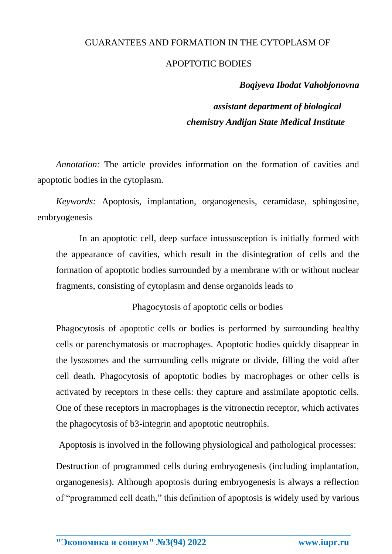# GUARANTEES AND FORMATION IN THE CYTOPLASM OF

### APOPTOTIC BODIES

## *Boqiyeva Ibodat Vahobjonovna*

*assistant department of biological chemistry Andijan State Medical Institute*

*Annotation:* The article provides information on the formation of cavities and apoptotic bodies in the cytoplasm.

*Keywords:* Apoptosis, implantation, organogenesis, ceramidase, sphingosine, embryogenesis

In an apoptotic cell, deep surface intussusception is initially formed with the appearance of cavities, which result in the disintegration of cells and the formation of apoptotic bodies surrounded by a membrane with or without nuclear fragments, consisting of cytoplasm and dense organoids leads to

Phagocytosis of apoptotic cells or bodies

Phagocytosis of apoptotic cells or bodies is performed by surrounding healthy cells or parenchymatosis or macrophages. Apoptotic bodies quickly disappear in the lysosomes and the surrounding cells migrate or divide, filling the void after cell death. Phagocytosis of apoptotic bodies by macrophages or other cells is activated by receptors in these cells: they capture and assimilate apoptotic cells. One of these receptors in macrophages is the vitronectin receptor, which activates the phagocytosis of b3-integrin and apoptotic neutrophils.

Apoptosis is involved in the following physiological and pathological processes:

Destruction of programmed cells during embryogenesis (including implantation, organogenesis). Although apoptosis during embryogenesis is always a reflection of "programmed cell death," this definition of apoptosis is widely used by various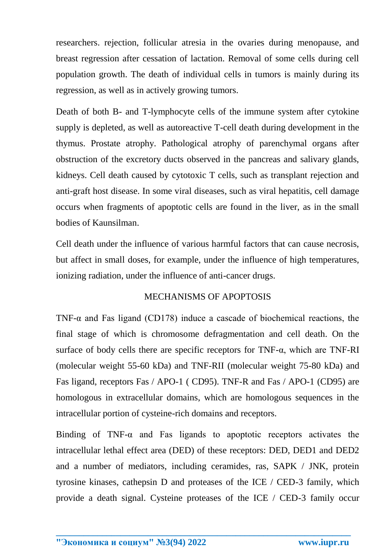researchers. rejection, follicular atresia in the ovaries during menopause, and breast regression after cessation of lactation. Removal of some cells during cell population growth. The death of individual cells in tumors is mainly during its regression, as well as in actively growing tumors.

Death of both B- and T-lymphocyte cells of the immune system after cytokine supply is depleted, as well as autoreactive T-cell death during development in the thymus. Prostate atrophy. Pathological atrophy of parenchymal organs after obstruction of the excretory ducts observed in the pancreas and salivary glands, kidneys. Cell death caused by cytotoxic T cells, such as transplant rejection and anti-graft host disease. In some viral diseases, such as viral hepatitis, cell damage occurs when fragments of apoptotic cells are found in the liver, as in the small bodies of Kaunsilman.

Cell death under the influence of various harmful factors that can cause necrosis, but affect in small doses, for example, under the influence of high temperatures, ionizing radiation, under the influence of anti-cancer drugs.

## MECHANISMS OF APOPTOSIS

TNF- $\alpha$  and Fas ligand (CD178) induce a cascade of biochemical reactions, the final stage of which is chromosome defragmentation and cell death. On the surface of body cells there are specific receptors for TNF-α, which are TNF-RI (molecular weight 55-60 kDa) and TNF-RII (molecular weight 75-80 kDa) and Fas ligand, receptors Fas / APO-1 ( CD95). TNF-R and Fas / APO-1 (CD95) are homologous in extracellular domains, which are homologous sequences in the intracellular portion of cysteine-rich domains and receptors.

Binding of  $TNF-\alpha$  and Fas ligands to apoptotic receptors activates the intracellular lethal effect area (DED) of these receptors: DED, DED1 and DED2 and a number of mediators, including ceramides, ras, SAPK / JNK, protein tyrosine kinases, cathepsin D and proteases of the ICE / CED-3 family, which provide a death signal. Cysteine proteases of the ICE / CED-3 family occur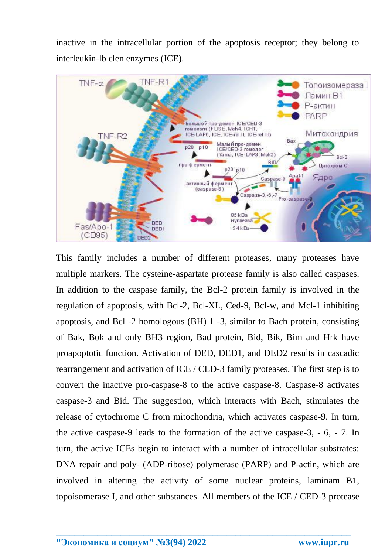inactive in the intracellular portion of the apoptosis receptor; they belong to interleukin-lb clen enzymes (ICE).



This family includes a number of different proteases, many proteases have multiple markers. The cysteine-aspartate protease family is also called caspases. In addition to the caspase family, the Bcl-2 protein family is involved in the regulation of apoptosis, with Bcl-2, Bcl-XL, Ced-9, Bcl-w, and Mcl-1 inhibiting apoptosis, and Bcl -2 homologous (BH) 1 -3, similar to Bach protein, consisting of Bak, Bok and only BH3 region, Bad protein, Bid, Bik, Bim and Hrk have proapoptotic function. Activation of DED, DED1, and DED2 results in cascadic rearrangement and activation of ICE / CED-3 family proteases. The first step is to convert the inactive pro-caspase-8 to the active caspase-8. Caspase-8 activates caspase-3 and Bid. The suggestion, which interacts with Bach, stimulates the release of cytochrome C from mitochondria, which activates caspase-9. In turn, the active caspase-9 leads to the formation of the active caspase-3, - 6, - 7. In turn, the active ICEs begin to interact with a number of intracellular substrates: DNA repair and poly- (ADP-ribose) polymerase (PARP) and P-actin, which are involved in altering the activity of some nuclear proteins, laminam B1, topoisomerase I, and other substances. All members of the ICE / CED-3 protease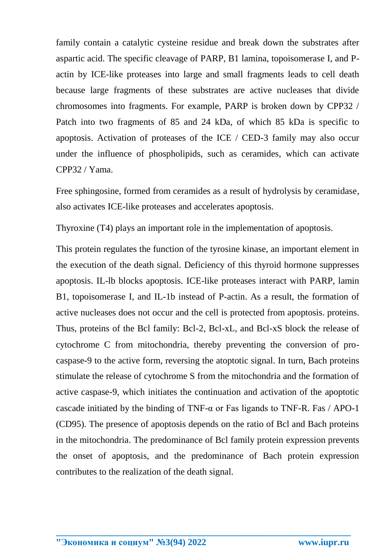family contain a catalytic cysteine residue and break down the substrates after aspartic acid. The specific cleavage of PARP, B1 lamina, topoisomerase I, and Pactin by ICE-like proteases into large and small fragments leads to cell death because large fragments of these substrates are active nucleases that divide chromosomes into fragments. For example, PARP is broken down by CPP32 / Patch into two fragments of 85 and 24 kDa, of which 85 kDa is specific to apoptosis. Activation of proteases of the ICE / CED-3 family may also occur under the influence of phospholipids, such as ceramides, which can activate CPP32 / Yama.

Free sphingosine, formed from ceramides as a result of hydrolysis by ceramidase, also activates ICE-like proteases and accelerates apoptosis.

Thyroxine (T4) plays an important role in the implementation of apoptosis.

This protein regulates the function of the tyrosine kinase, an important element in the execution of the death signal. Deficiency of this thyroid hormone suppresses apoptosis. IL-lb blocks apoptosis. ICE-like proteases interact with PARP, lamin B1, topoisomerase I, and IL-1b instead of P-actin. As a result, the formation of active nucleases does not occur and the cell is protected from apoptosis. proteins. Thus, proteins of the Bcl family: Bcl-2, Bcl-xL, and Bcl-xS block the release of cytochrome C from mitochondria, thereby preventing the conversion of procaspase-9 to the active form, reversing the atoptotic signal. In turn, Bach proteins stimulate the release of cytochrome S from the mitochondria and the formation of active caspase-9, which initiates the continuation and activation of the apoptotic cascade initiated by the binding of TNF- $\alpha$  or Fas ligands to TNF-R. Fas / APO-1 (CD95). The presence of apoptosis depends on the ratio of Bcl and Bach proteins in the mitochondria. The predominance of Bcl family protein expression prevents the onset of apoptosis, and the predominance of Bach protein expression contributes to the realization of the death signal.